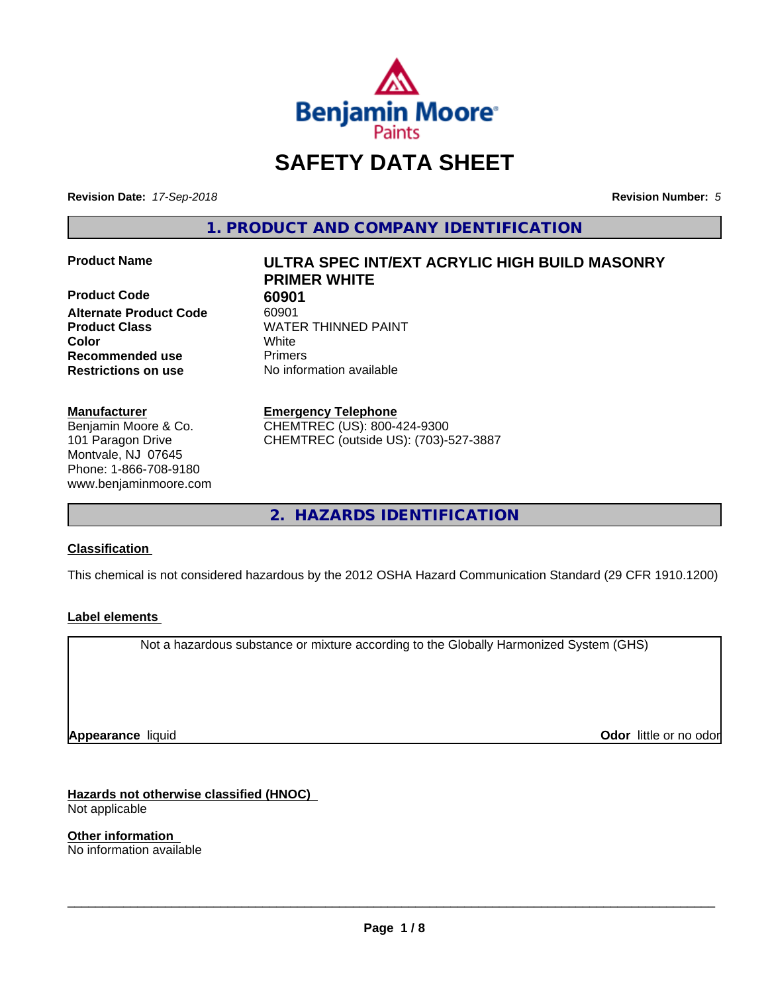

# **SAFETY DATA SHEET**

**Revision Date:** *17-Sep-2018* **Revision Number:** *5*

**1. PRODUCT AND COMPANY IDENTIFICATION**

**Product Code 60901 Alternate Product Code** 60901 **Product Class WATER THINNED PAINT Color** White **Recommended use** Primers **Restrictions on use** No information available

#### **Manufacturer**

Benjamin Moore & Co. 101 Paragon Drive Montvale, NJ 07645 Phone: 1-866-708-9180 www.benjaminmoore.com

# **Product Name ULTRA SPEC INT/EXT ACRYLIC HIGH BUILD MASONRY PRIMER WHITE**

**Emergency Telephone**

CHEMTREC (US): 800-424-9300 CHEMTREC (outside US): (703)-527-3887

**2. HAZARDS IDENTIFICATION**

#### **Classification**

This chemical is not considered hazardous by the 2012 OSHA Hazard Communication Standard (29 CFR 1910.1200)

#### **Label elements**

Not a hazardous substance or mixture according to the Globally Harmonized System (GHS)

**Appearance** liquid

**Odor** little or no odor

**Hazards not otherwise classified (HNOC)** Not applicable

**Other information** No information available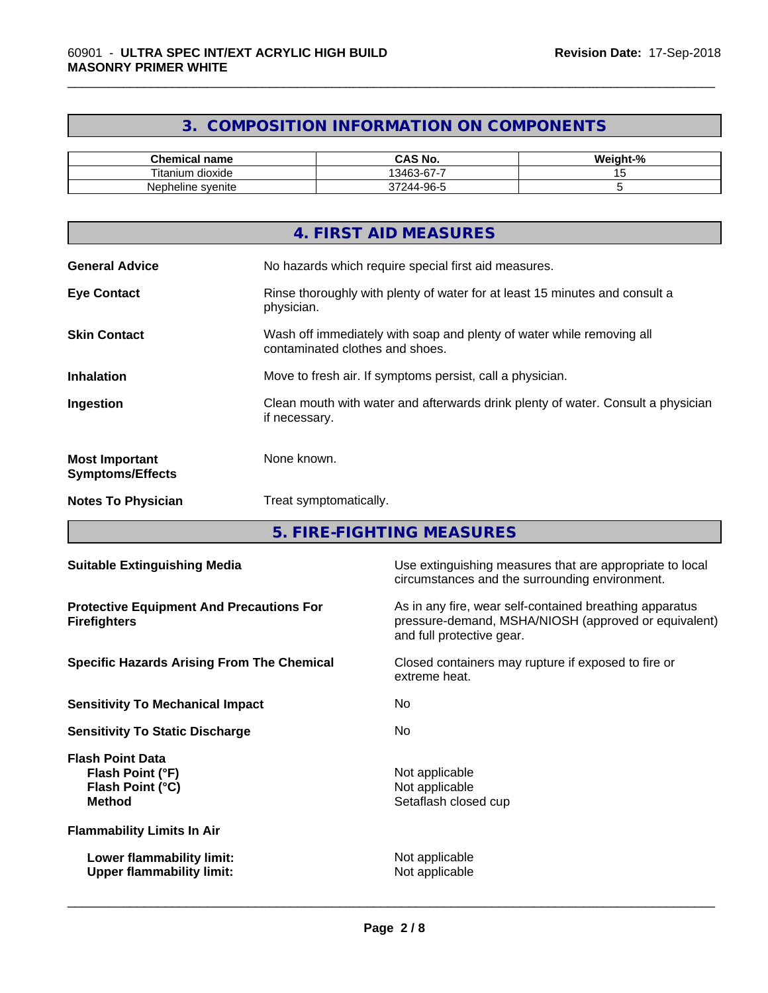# **3. COMPOSITION INFORMATION ON COMPONENTS**

\_\_\_\_\_\_\_\_\_\_\_\_\_\_\_\_\_\_\_\_\_\_\_\_\_\_\_\_\_\_\_\_\_\_\_\_\_\_\_\_\_\_\_\_\_\_\_\_\_\_\_\_\_\_\_\_\_\_\_\_\_\_\_\_\_\_\_\_\_\_\_\_\_\_\_\_\_\_\_\_\_\_\_\_\_\_\_\_\_\_\_\_\_

| Chemical<br>' name             | CAS No.<br>$\neg$ $\wedge$         | ---<br>$\overline{\phantom{a}}$<br>"veight-"<br>-70 |
|--------------------------------|------------------------------------|-----------------------------------------------------|
| <br>÷.<br>l itanium<br>dioxide | --<br>$\sim$<br>13463<br>3-D7-     |                                                     |
| Nepheline svenite              | -96-5<br>$\sim$<br>244.<br>--<br>◡ |                                                     |

|                                                  | 4. FIRST AID MEASURES                                                                                    |
|--------------------------------------------------|----------------------------------------------------------------------------------------------------------|
| <b>General Advice</b>                            | No hazards which require special first aid measures.                                                     |
| <b>Eye Contact</b>                               | Rinse thoroughly with plenty of water for at least 15 minutes and consult a<br>physician.                |
| <b>Skin Contact</b>                              | Wash off immediately with soap and plenty of water while removing all<br>contaminated clothes and shoes. |
| <b>Inhalation</b>                                | Move to fresh air. If symptoms persist, call a physician.                                                |
| Ingestion                                        | Clean mouth with water and afterwards drink plenty of water. Consult a physician<br>if necessary.        |
| <b>Most Important</b><br><b>Symptoms/Effects</b> | None known.                                                                                              |
| <b>Notes To Physician</b>                        | Treat symptomatically.                                                                                   |

**5. FIRE-FIGHTING MEASURES**

| <b>Suitable Extinguishing Media</b>                                              | Use extinguishing measures that are appropriate to local<br>circumstances and the surrounding environment.                                   |
|----------------------------------------------------------------------------------|----------------------------------------------------------------------------------------------------------------------------------------------|
| <b>Protective Equipment And Precautions For</b><br><b>Firefighters</b>           | As in any fire, wear self-contained breathing apparatus<br>pressure-demand, MSHA/NIOSH (approved or equivalent)<br>and full protective gear. |
| <b>Specific Hazards Arising From The Chemical</b>                                | Closed containers may rupture if exposed to fire or<br>extreme heat.                                                                         |
| <b>Sensitivity To Mechanical Impact</b>                                          | No.                                                                                                                                          |
| <b>Sensitivity To Static Discharge</b>                                           | No.                                                                                                                                          |
| <b>Flash Point Data</b><br>Flash Point (°F)<br>Flash Point (°C)<br><b>Method</b> | Not applicable<br>Not applicable<br>Setaflash closed cup                                                                                     |
| <b>Flammability Limits In Air</b>                                                |                                                                                                                                              |
| Lower flammability limit:<br><b>Upper flammability limit:</b>                    | Not applicable<br>Not applicable                                                                                                             |
|                                                                                  |                                                                                                                                              |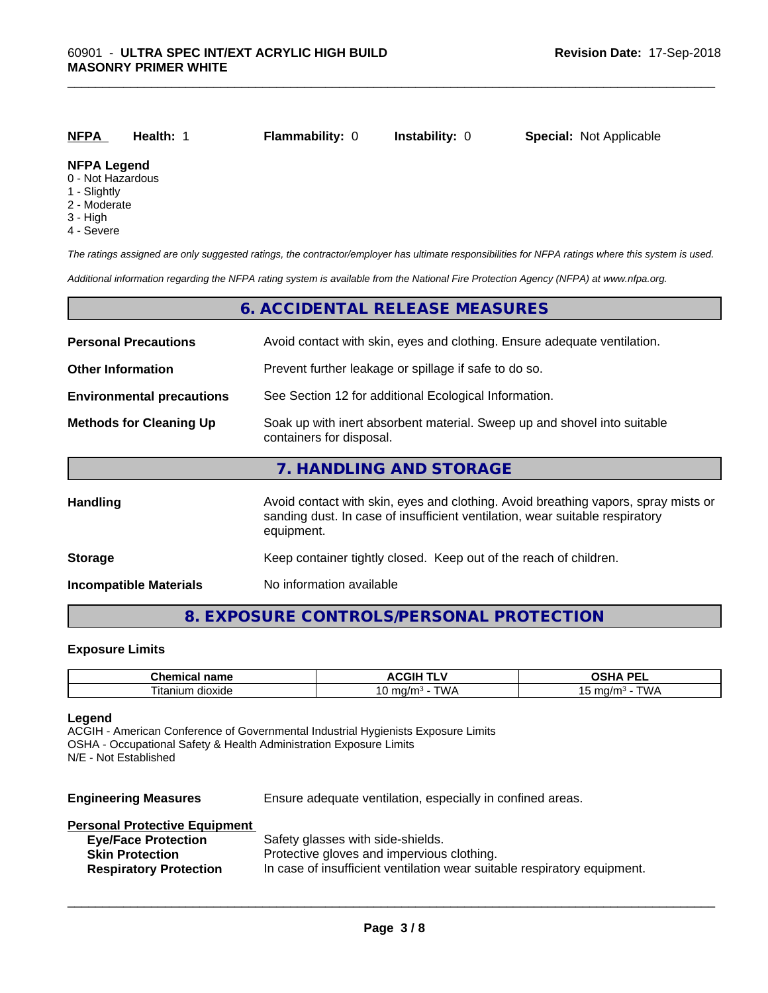| <b>NFPA</b>                           | Health: | <b>Flammability: 0</b> | <b>Instability: 0</b> | <b>Special: Not Applicable</b> |  |
|---------------------------------------|---------|------------------------|-----------------------|--------------------------------|--|
| <b>NFPA Legend</b><br>0 Not Hozardous |         |                        |                       |                                |  |

- 0 Not Hazardous
- 1 Slightly
- 2 Moderate
- 3 High
- 4 Severe

*The ratings assigned are only suggested ratings, the contractor/employer has ultimate responsibilities for NFPA ratings where this system is used.*

*Additional information regarding the NFPA rating system is available from the National Fire Protection Agency (NFPA) at www.nfpa.org.*

|                                  | 6. ACCIDENTAL RELEASE MEASURES                                                                                                                                                   |
|----------------------------------|----------------------------------------------------------------------------------------------------------------------------------------------------------------------------------|
| <b>Personal Precautions</b>      | Avoid contact with skin, eyes and clothing. Ensure adequate ventilation.                                                                                                         |
| <b>Other Information</b>         | Prevent further leakage or spillage if safe to do so.                                                                                                                            |
| <b>Environmental precautions</b> | See Section 12 for additional Ecological Information.                                                                                                                            |
| <b>Methods for Cleaning Up</b>   | Soak up with inert absorbent material. Sweep up and shovel into suitable<br>containers for disposal.                                                                             |
|                                  | 7. HANDLING AND STORAGE                                                                                                                                                          |
| <b>Handling</b>                  | Avoid contact with skin, eyes and clothing. Avoid breathing vapors, spray mists or<br>sanding dust. In case of insufficient ventilation, wear suitable respiratory<br>equipment. |
| <b>Storage</b>                   | Keep container tightly closed. Keep out of the reach of children.                                                                                                                |
| <b>Incompatible Materials</b>    | No information available                                                                                                                                                         |

# **8. EXPOSURE CONTROLS/PERSONAL PROTECTION**

#### **Exposure Limits**

| $\sim$<br>----<br>$  -$<br>…ne<br>1111<br>and in the set | <b>AIL</b><br>мuн.                    | <b>DE</b><br>$\mathbf{r}$<br>-<br>-- |
|----------------------------------------------------------|---------------------------------------|--------------------------------------|
| $- \cdot$ .<br>dioxide<br>l itanium                      | ٦M.<br>.1/r<br>. .<br><b>∪</b><br>. . | max/m<br>17<br>. .<br>. .            |

#### **Legend**

ACGIH - American Conference of Governmental Industrial Hygienists Exposure Limits OSHA - Occupational Safety & Health Administration Exposure Limits N/E - Not Established

| <b>Engineering Measures</b>   | Ensure adequate ventilation, especially in confined areas. |
|-------------------------------|------------------------------------------------------------|
| Personal Protective Equipment |                                                            |
| <b>Eye/Face Protection</b>    | Safety glasses with side-shields.                          |
| <b>Skin Protection</b>        | Protective gloves and impervious clothing.                 |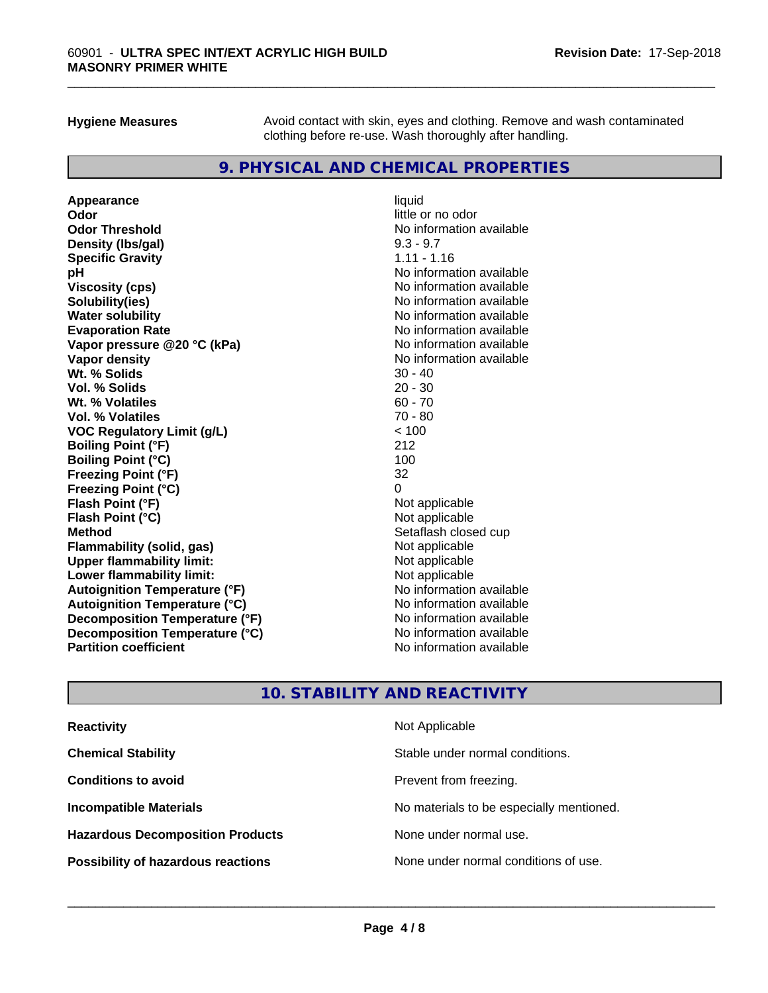**Hygiene Measures** Avoid contact with skin, eyes and clothing. Remove and wash contaminated clothing before re-use. Wash thoroughly after handling.

# **9. PHYSICAL AND CHEMICAL PROPERTIES**

**Appearance** liquid **Odor** little or no odor **Odor Threshold**<br> **Density (Ibs/gal)**<br> **Density (Ibs/gal)**<br>
2.3 - 9.7 **Density (lbs/gal)** 9.3 - 9.7<br> **Specific Gravity** 1.11 - 1.16 **Specific Gravity pH** No information available **Viscosity (cps)** No information available in the Viscosity (cps) **Solubility(ies)** No information available **Water solubility Mater Solubility**<br> **Evaporation Rate** Mate No information available **Vapor pressure @20 °C (kPa)** No information available **Vapor density Vapor density No information available Wt. % Solids** 30 - 40 **Vol. % Solids** 20 - 30 **Wt. % Volatiles Vol. % Volatiles** 70 - 80 **VOC Regulatory Limit (g/L)** < 100 **Boiling Point (°F)** 212 **Boiling Point (°C)** 100 **Freezing Point (°F)** 32 **Freezing Point (°C)** 0 **Flash Point (°F)**<br> **Flash Point (°C)**<br> **Flash Point (°C)**<br> **C Flash Point (°C) Method** Setaflash closed cup **Flammability (solid, gas)** Not applicable<br> **Upper flammability limit:** Not applicable<br>
Not applicable **Upper flammability limit:**<br> **Lower flammability limit:**<br>
Not applicable<br>
Not applicable **Lower flammability limit:**<br> **Autoianition Temperature (°F)**<br>
Mo information available **Autoignition Temperature (°F)**<br> **Autoignition Temperature (°C)**<br> **Autoignition Temperature (°C)**<br>
Mo information available **Autoignition Temperature (°C) Decomposition Temperature (°F)** No information available **Decomposition Temperature (°C)** No information available<br> **Partition coefficient Partition available** 

**Evaporation Rate** No information available **No information available** 

# **10. STABILITY AND REACTIVITY**

| <b>Reactivity</b>                         | Not Applicable                           |
|-------------------------------------------|------------------------------------------|
| <b>Chemical Stability</b>                 | Stable under normal conditions.          |
| <b>Conditions to avoid</b>                | Prevent from freezing.                   |
| <b>Incompatible Materials</b>             | No materials to be especially mentioned. |
| <b>Hazardous Decomposition Products</b>   | None under normal use.                   |
| <b>Possibility of hazardous reactions</b> | None under normal conditions of use.     |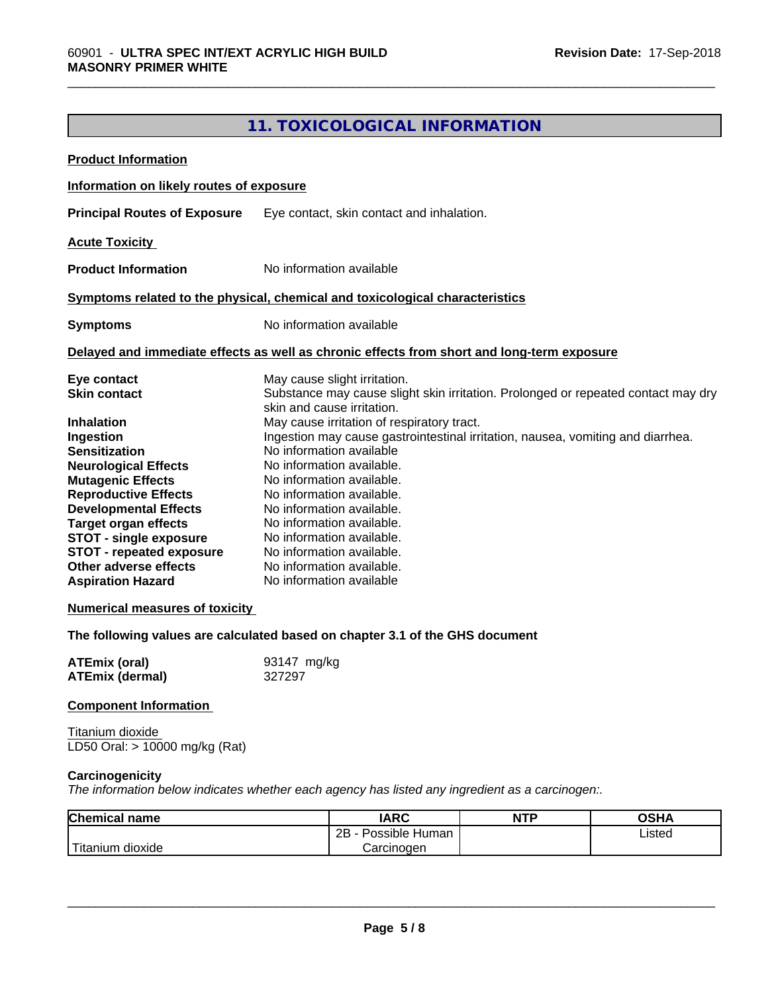# **11. TOXICOLOGICAL INFORMATION**

\_\_\_\_\_\_\_\_\_\_\_\_\_\_\_\_\_\_\_\_\_\_\_\_\_\_\_\_\_\_\_\_\_\_\_\_\_\_\_\_\_\_\_\_\_\_\_\_\_\_\_\_\_\_\_\_\_\_\_\_\_\_\_\_\_\_\_\_\_\_\_\_\_\_\_\_\_\_\_\_\_\_\_\_\_\_\_\_\_\_\_\_\_

| <b>Product Information</b>                                                                                                                                                                                                                                                                                                                                                                                              |             |                                                                                                                                                                                                                                                                                                                                                                                                                                                                                             |            |                                                                                   |  |
|-------------------------------------------------------------------------------------------------------------------------------------------------------------------------------------------------------------------------------------------------------------------------------------------------------------------------------------------------------------------------------------------------------------------------|-------------|---------------------------------------------------------------------------------------------------------------------------------------------------------------------------------------------------------------------------------------------------------------------------------------------------------------------------------------------------------------------------------------------------------------------------------------------------------------------------------------------|------------|-----------------------------------------------------------------------------------|--|
| Information on likely routes of exposure                                                                                                                                                                                                                                                                                                                                                                                |             |                                                                                                                                                                                                                                                                                                                                                                                                                                                                                             |            |                                                                                   |  |
| <b>Principal Routes of Exposure</b>                                                                                                                                                                                                                                                                                                                                                                                     |             | Eye contact, skin contact and inhalation.                                                                                                                                                                                                                                                                                                                                                                                                                                                   |            |                                                                                   |  |
| <b>Acute Toxicity</b>                                                                                                                                                                                                                                                                                                                                                                                                   |             |                                                                                                                                                                                                                                                                                                                                                                                                                                                                                             |            |                                                                                   |  |
| <b>Product Information</b>                                                                                                                                                                                                                                                                                                                                                                                              |             | No information available                                                                                                                                                                                                                                                                                                                                                                                                                                                                    |            |                                                                                   |  |
| Symptoms related to the physical, chemical and toxicological characteristics                                                                                                                                                                                                                                                                                                                                            |             |                                                                                                                                                                                                                                                                                                                                                                                                                                                                                             |            |                                                                                   |  |
| <b>Symptoms</b>                                                                                                                                                                                                                                                                                                                                                                                                         |             | No information available                                                                                                                                                                                                                                                                                                                                                                                                                                                                    |            |                                                                                   |  |
| Delayed and immediate effects as well as chronic effects from short and long-term exposure                                                                                                                                                                                                                                                                                                                              |             |                                                                                                                                                                                                                                                                                                                                                                                                                                                                                             |            |                                                                                   |  |
| Eye contact<br><b>Skin contact</b><br><b>Inhalation</b><br>Ingestion<br><b>Sensitization</b><br><b>Neurological Effects</b><br><b>Mutagenic Effects</b><br><b>Reproductive Effects</b><br><b>Developmental Effects</b><br><b>Target organ effects</b><br><b>STOT - single exposure</b><br><b>STOT - repeated exposure</b><br>Other adverse effects<br><b>Aspiration Hazard</b><br><b>Numerical measures of toxicity</b> |             | May cause slight irritation.<br>skin and cause irritation.<br>May cause irritation of respiratory tract.<br>Ingestion may cause gastrointestinal irritation, nausea, vomiting and diarrhea.<br>No information available<br>No information available.<br>No information available.<br>No information available.<br>No information available.<br>No information available.<br>No information available.<br>No information available.<br>No information available.<br>No information available |            | Substance may cause slight skin irritation. Prolonged or repeated contact may dry |  |
| The following values are calculated based on chapter 3.1 of the GHS document<br><b>ATEmix (oral)</b>                                                                                                                                                                                                                                                                                                                    | 93147 mg/kg |                                                                                                                                                                                                                                                                                                                                                                                                                                                                                             |            |                                                                                   |  |
| <b>ATEmix (dermal)</b>                                                                                                                                                                                                                                                                                                                                                                                                  | 327297      |                                                                                                                                                                                                                                                                                                                                                                                                                                                                                             |            |                                                                                   |  |
| <b>Component Information</b>                                                                                                                                                                                                                                                                                                                                                                                            |             |                                                                                                                                                                                                                                                                                                                                                                                                                                                                                             |            |                                                                                   |  |
| Titanium dioxide<br>LD50 Oral: > 10000 mg/kg (Rat)                                                                                                                                                                                                                                                                                                                                                                      |             |                                                                                                                                                                                                                                                                                                                                                                                                                                                                                             |            |                                                                                   |  |
| Carcinogenicity<br>The information below indicates whether each agency has listed any ingredient as a carcinogen:.                                                                                                                                                                                                                                                                                                      |             |                                                                                                                                                                                                                                                                                                                                                                                                                                                                                             |            |                                                                                   |  |
| Chemical name                                                                                                                                                                                                                                                                                                                                                                                                           |             | <b>IARC</b>                                                                                                                                                                                                                                                                                                                                                                                                                                                                                 | <b>NTP</b> | <b>OSHA</b>                                                                       |  |
| Titanium dioxide                                                                                                                                                                                                                                                                                                                                                                                                        |             | 2B - Possible Human<br>Carcinogen                                                                                                                                                                                                                                                                                                                                                                                                                                                           |            | Listed                                                                            |  |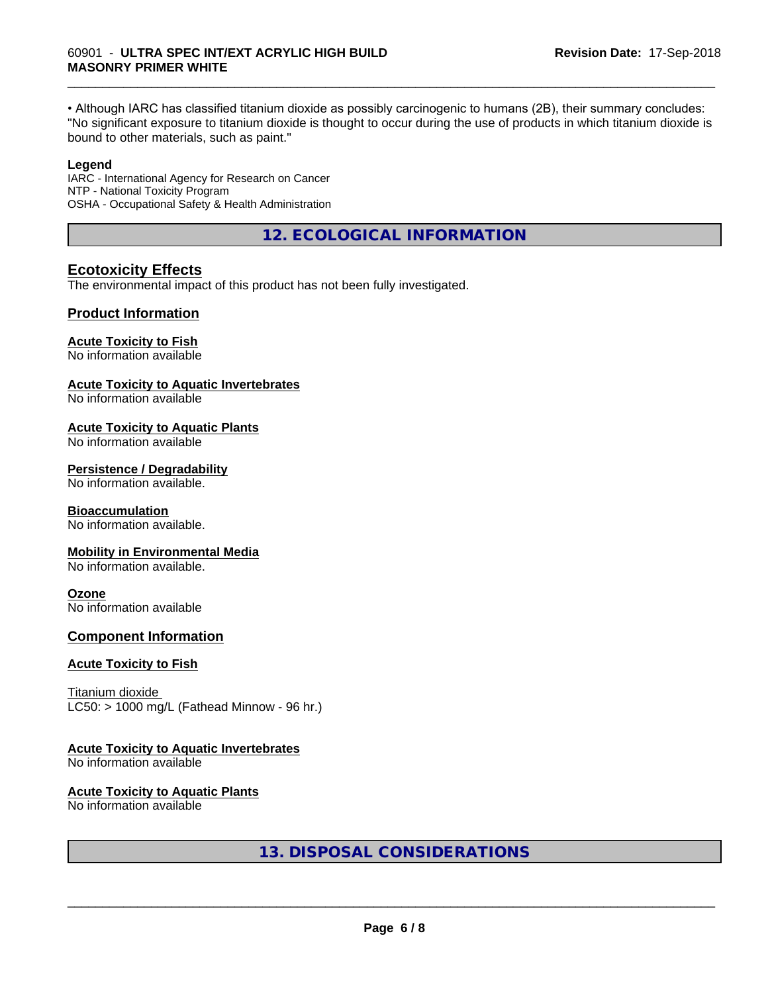• Although IARC has classified titanium dioxide as possibly carcinogenic to humans (2B), their summary concludes: "No significant exposure to titanium dioxide is thought to occur during the use of products in which titanium dioxide is bound to other materials, such as paint."

\_\_\_\_\_\_\_\_\_\_\_\_\_\_\_\_\_\_\_\_\_\_\_\_\_\_\_\_\_\_\_\_\_\_\_\_\_\_\_\_\_\_\_\_\_\_\_\_\_\_\_\_\_\_\_\_\_\_\_\_\_\_\_\_\_\_\_\_\_\_\_\_\_\_\_\_\_\_\_\_\_\_\_\_\_\_\_\_\_\_\_\_\_

#### **Legend**

IARC - International Agency for Research on Cancer NTP - National Toxicity Program OSHA - Occupational Safety & Health Administration

**12. ECOLOGICAL INFORMATION**

#### **Ecotoxicity Effects**

The environmental impact of this product has not been fully investigated.

#### **Product Information**

#### **Acute Toxicity to Fish**

No information available

#### **Acute Toxicity to Aquatic Invertebrates**

No information available

#### **Acute Toxicity to Aquatic Plants**

No information available

#### **Persistence / Degradability**

No information available.

#### **Bioaccumulation**

No information available.

#### **Mobility in Environmental Media**

No information available.

#### **Ozone**

No information available

### **Component Information**

#### **Acute Toxicity to Fish**

Titanium dioxide  $LC50:$  > 1000 mg/L (Fathead Minnow - 96 hr.)

#### **Acute Toxicity to Aquatic Invertebrates**

No information available

#### **Acute Toxicity to Aquatic Plants**

No information available

**13. DISPOSAL CONSIDERATIONS**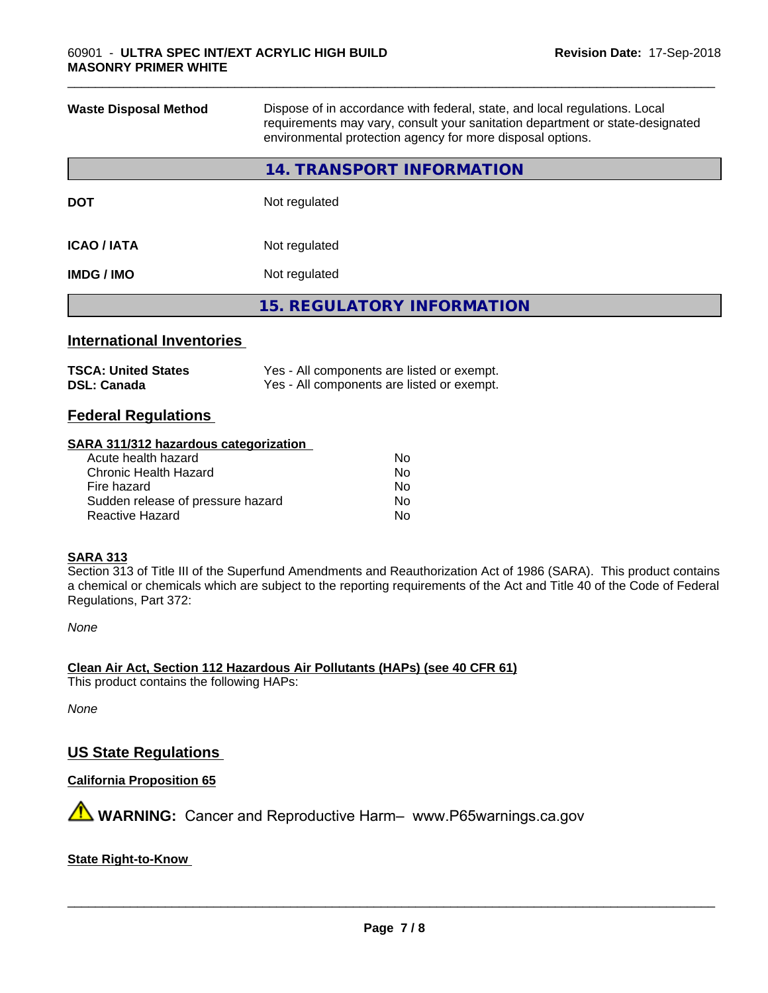| <b>Waste Disposal Method</b> | Dispose of in accordance with federal, state, and local regulations. Local<br>requirements may vary, consult your sanitation department or state-designated<br>environmental protection agency for more disposal options. |
|------------------------------|---------------------------------------------------------------------------------------------------------------------------------------------------------------------------------------------------------------------------|
|                              | <b>14. TRANSPORT INFORMATION</b>                                                                                                                                                                                          |
| <b>DOT</b>                   | Not regulated                                                                                                                                                                                                             |
| <b>ICAO/IATA</b>             | Not regulated                                                                                                                                                                                                             |
| <b>IMDG/IMO</b>              | Not regulated                                                                                                                                                                                                             |
|                              | <b>15. REGULATORY INFORMATION</b>                                                                                                                                                                                         |
|                              |                                                                                                                                                                                                                           |

\_\_\_\_\_\_\_\_\_\_\_\_\_\_\_\_\_\_\_\_\_\_\_\_\_\_\_\_\_\_\_\_\_\_\_\_\_\_\_\_\_\_\_\_\_\_\_\_\_\_\_\_\_\_\_\_\_\_\_\_\_\_\_\_\_\_\_\_\_\_\_\_\_\_\_\_\_\_\_\_\_\_\_\_\_\_\_\_\_\_\_\_\_

# **International Inventories**

| <b>TSCA: United States</b> | Yes - All components are listed or exempt. |
|----------------------------|--------------------------------------------|
| <b>DSL: Canada</b>         | Yes - All components are listed or exempt. |

# **Federal Regulations**

### **SARA 311/312 hazardous categorization**

| Acute health hazard               | No. |
|-----------------------------------|-----|
| Chronic Health Hazard             | Nο  |
| Fire hazard                       | No. |
| Sudden release of pressure hazard | Nο  |
| Reactive Hazard                   | N٥  |

# **SARA 313**

Section 313 of Title III of the Superfund Amendments and Reauthorization Act of 1986 (SARA). This product contains a chemical or chemicals which are subject to the reporting requirements of the Act and Title 40 of the Code of Federal Regulations, Part 372:

*None*

**Clean Air Act,Section 112 Hazardous Air Pollutants (HAPs) (see 40 CFR 61)**

This product contains the following HAPs:

*None*

# **US State Regulations**

**California Proposition 65**

**AVIMARNING:** Cancer and Reproductive Harm– www.P65warnings.ca.gov

#### **State Right-to-Know**